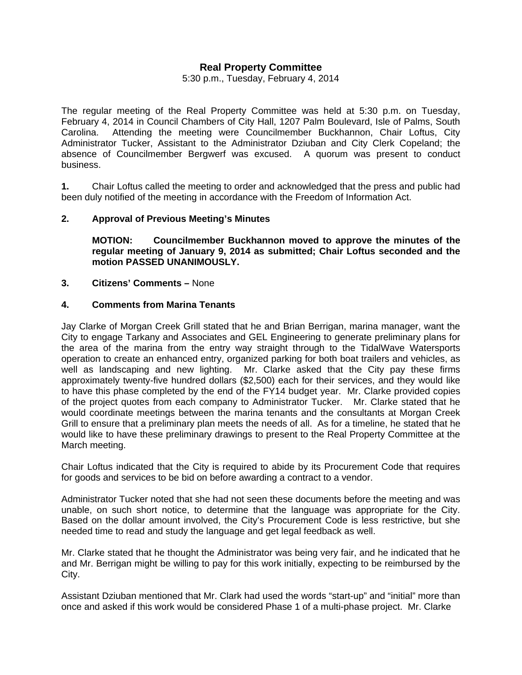# **Real Property Committee**

5:30 p.m., Tuesday, February 4, 2014

The regular meeting of the Real Property Committee was held at 5:30 p.m. on Tuesday, February 4, 2014 in Council Chambers of City Hall, 1207 Palm Boulevard, Isle of Palms, South Carolina. Attending the meeting were Councilmember Buckhannon, Chair Loftus, City Administrator Tucker, Assistant to the Administrator Dziuban and City Clerk Copeland; the absence of Councilmember Bergwerf was excused. A quorum was present to conduct business.

**1.** Chair Loftus called the meeting to order and acknowledged that the press and public had been duly notified of the meeting in accordance with the Freedom of Information Act.

#### **2. Approval of Previous Meeting's Minutes**

 **MOTION: Councilmember Buckhannon moved to approve the minutes of the regular meeting of January 9, 2014 as submitted; Chair Loftus seconded and the motion PASSED UNANIMOUSLY.** 

#### **3. Citizens' Comments –** None

#### **4. Comments from Marina Tenants**

Jay Clarke of Morgan Creek Grill stated that he and Brian Berrigan, marina manager, want the City to engage Tarkany and Associates and GEL Engineering to generate preliminary plans for the area of the marina from the entry way straight through to the TidalWave Watersports operation to create an enhanced entry, organized parking for both boat trailers and vehicles, as well as landscaping and new lighting. Mr. Clarke asked that the City pay these firms approximately twenty-five hundred dollars (\$2,500) each for their services, and they would like to have this phase completed by the end of the FY14 budget year. Mr. Clarke provided copies of the project quotes from each company to Administrator Tucker. Mr. Clarke stated that he would coordinate meetings between the marina tenants and the consultants at Morgan Creek Grill to ensure that a preliminary plan meets the needs of all. As for a timeline, he stated that he would like to have these preliminary drawings to present to the Real Property Committee at the March meeting.

Chair Loftus indicated that the City is required to abide by its Procurement Code that requires for goods and services to be bid on before awarding a contract to a vendor.

Administrator Tucker noted that she had not seen these documents before the meeting and was unable, on such short notice, to determine that the language was appropriate for the City. Based on the dollar amount involved, the City's Procurement Code is less restrictive, but she needed time to read and study the language and get legal feedback as well.

Mr. Clarke stated that he thought the Administrator was being very fair, and he indicated that he and Mr. Berrigan might be willing to pay for this work initially, expecting to be reimbursed by the City.

Assistant Dziuban mentioned that Mr. Clark had used the words "start-up" and "initial" more than once and asked if this work would be considered Phase 1 of a multi-phase project. Mr. Clarke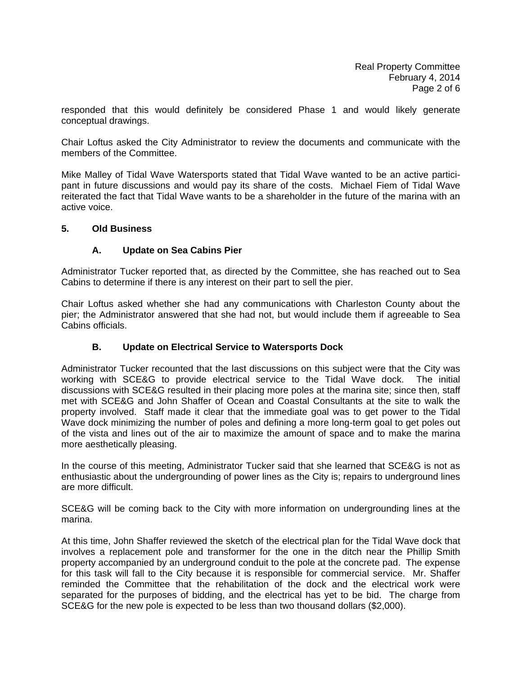responded that this would definitely be considered Phase 1 and would likely generate conceptual drawings.

Chair Loftus asked the City Administrator to review the documents and communicate with the members of the Committee.

Mike Malley of Tidal Wave Watersports stated that Tidal Wave wanted to be an active participant in future discussions and would pay its share of the costs. Michael Fiem of Tidal Wave reiterated the fact that Tidal Wave wants to be a shareholder in the future of the marina with an active voice.

#### **5. Old Business**

### **A. Update on Sea Cabins Pier**

Administrator Tucker reported that, as directed by the Committee, she has reached out to Sea Cabins to determine if there is any interest on their part to sell the pier.

Chair Loftus asked whether she had any communications with Charleston County about the pier; the Administrator answered that she had not, but would include them if agreeable to Sea Cabins officials.

### **B. Update on Electrical Service to Watersports Dock**

Administrator Tucker recounted that the last discussions on this subject were that the City was working with SCE&G to provide electrical service to the Tidal Wave dock. The initial discussions with SCE&G resulted in their placing more poles at the marina site; since then, staff met with SCE&G and John Shaffer of Ocean and Coastal Consultants at the site to walk the property involved. Staff made it clear that the immediate goal was to get power to the Tidal Wave dock minimizing the number of poles and defining a more long-term goal to get poles out of the vista and lines out of the air to maximize the amount of space and to make the marina more aesthetically pleasing.

In the course of this meeting, Administrator Tucker said that she learned that SCE&G is not as enthusiastic about the undergrounding of power lines as the City is; repairs to underground lines are more difficult.

SCE&G will be coming back to the City with more information on undergrounding lines at the marina.

At this time, John Shaffer reviewed the sketch of the electrical plan for the Tidal Wave dock that involves a replacement pole and transformer for the one in the ditch near the Phillip Smith property accompanied by an underground conduit to the pole at the concrete pad. The expense for this task will fall to the City because it is responsible for commercial service. Mr. Shaffer reminded the Committee that the rehabilitation of the dock and the electrical work were separated for the purposes of bidding, and the electrical has yet to be bid. The charge from SCE&G for the new pole is expected to be less than two thousand dollars (\$2,000).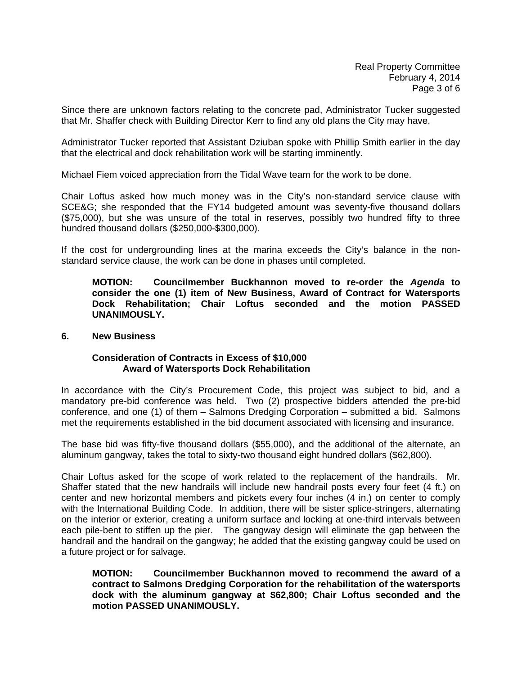Since there are unknown factors relating to the concrete pad, Administrator Tucker suggested that Mr. Shaffer check with Building Director Kerr to find any old plans the City may have.

Administrator Tucker reported that Assistant Dziuban spoke with Phillip Smith earlier in the day that the electrical and dock rehabilitation work will be starting imminently.

Michael Fiem voiced appreciation from the Tidal Wave team for the work to be done.

Chair Loftus asked how much money was in the City's non-standard service clause with SCE&G; she responded that the FY14 budgeted amount was seventy-five thousand dollars (\$75,000), but she was unsure of the total in reserves, possibly two hundred fifty to three hundred thousand dollars (\$250,000-\$300,000).

If the cost for undergrounding lines at the marina exceeds the City's balance in the nonstandard service clause, the work can be done in phases until completed.

**MOTION: Councilmember Buckhannon moved to re-order the** *Agenda* **to consider the one (1) item of New Business, Award of Contract for Watersports Dock Rehabilitation; Chair Loftus seconded and the motion PASSED UNANIMOUSLY.** 

#### **6. New Business**

#### **Consideration of Contracts in Excess of \$10,000 Award of Watersports Dock Rehabilitation**

In accordance with the City's Procurement Code, this project was subject to bid, and a mandatory pre-bid conference was held. Two (2) prospective bidders attended the pre-bid conference, and one (1) of them – Salmons Dredging Corporation – submitted a bid. Salmons met the requirements established in the bid document associated with licensing and insurance.

The base bid was fifty-five thousand dollars (\$55,000), and the additional of the alternate, an aluminum gangway, takes the total to sixty-two thousand eight hundred dollars (\$62,800).

Chair Loftus asked for the scope of work related to the replacement of the handrails. Mr. Shaffer stated that the new handrails will include new handrail posts every four feet (4 ft.) on center and new horizontal members and pickets every four inches (4 in.) on center to comply with the International Building Code. In addition, there will be sister splice-stringers, alternating on the interior or exterior, creating a uniform surface and locking at one-third intervals between each pile-bent to stiffen up the pier. The gangway design will eliminate the gap between the handrail and the handrail on the gangway; he added that the existing gangway could be used on a future project or for salvage.

**MOTION: Councilmember Buckhannon moved to recommend the award of a contract to Salmons Dredging Corporation for the rehabilitation of the watersports dock with the aluminum gangway at \$62,800; Chair Loftus seconded and the motion PASSED UNANIMOUSLY.**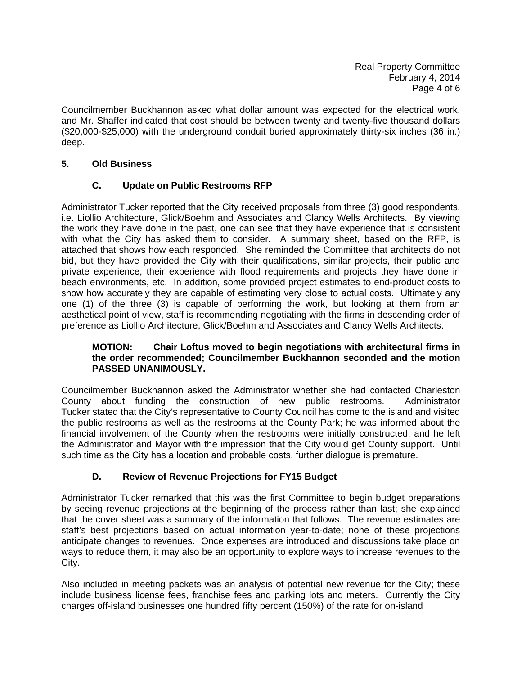Councilmember Buckhannon asked what dollar amount was expected for the electrical work, and Mr. Shaffer indicated that cost should be between twenty and twenty-five thousand dollars (\$20,000-\$25,000) with the underground conduit buried approximately thirty-six inches (36 in.) deep.

# **5. Old Business**

# **C. Update on Public Restrooms RFP**

Administrator Tucker reported that the City received proposals from three (3) good respondents, i.e. Liollio Architecture, Glick/Boehm and Associates and Clancy Wells Architects. By viewing the work they have done in the past, one can see that they have experience that is consistent with what the City has asked them to consider. A summary sheet, based on the RFP, is attached that shows how each responded. She reminded the Committee that architects do not bid, but they have provided the City with their qualifications, similar projects, their public and private experience, their experience with flood requirements and projects they have done in beach environments, etc. In addition, some provided project estimates to end-product costs to show how accurately they are capable of estimating very close to actual costs. Ultimately any one (1) of the three (3) is capable of performing the work, but looking at them from an aesthetical point of view, staff is recommending negotiating with the firms in descending order of preference as Liollio Architecture, Glick/Boehm and Associates and Clancy Wells Architects.

## **MOTION: Chair Loftus moved to begin negotiations with architectural firms in the order recommended; Councilmember Buckhannon seconded and the motion PASSED UNANIMOUSLY.**

Councilmember Buckhannon asked the Administrator whether she had contacted Charleston County about funding the construction of new public restrooms. Administrator Tucker stated that the City's representative to County Council has come to the island and visited the public restrooms as well as the restrooms at the County Park; he was informed about the financial involvement of the County when the restrooms were initially constructed; and he left the Administrator and Mayor with the impression that the City would get County support. Until such time as the City has a location and probable costs, further dialogue is premature.

### **D. Review of Revenue Projections for FY15 Budget**

Administrator Tucker remarked that this was the first Committee to begin budget preparations by seeing revenue projections at the beginning of the process rather than last; she explained that the cover sheet was a summary of the information that follows. The revenue estimates are staff's best projections based on actual information year-to-date; none of these projections anticipate changes to revenues. Once expenses are introduced and discussions take place on ways to reduce them, it may also be an opportunity to explore ways to increase revenues to the City.

Also included in meeting packets was an analysis of potential new revenue for the City; these include business license fees, franchise fees and parking lots and meters. Currently the City charges off-island businesses one hundred fifty percent (150%) of the rate for on-island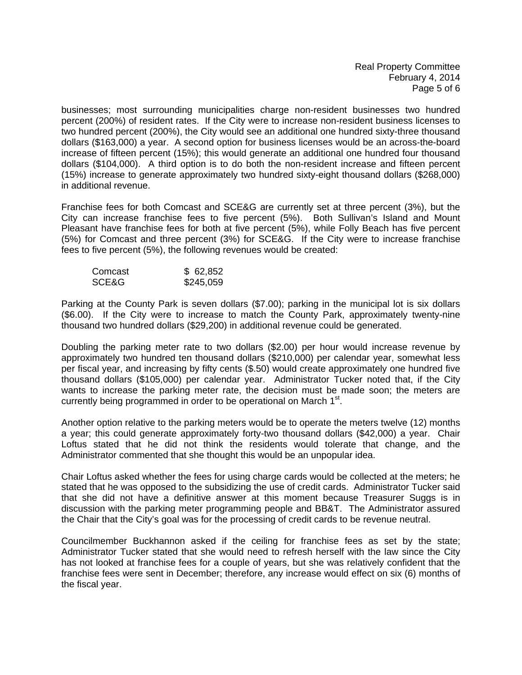Real Property Committee February 4, 2014 Page 5 of 6

businesses; most surrounding municipalities charge non-resident businesses two hundred percent (200%) of resident rates. If the City were to increase non-resident business licenses to two hundred percent (200%), the City would see an additional one hundred sixty-three thousand dollars (\$163,000) a year. A second option for business licenses would be an across-the-board increase of fifteen percent (15%); this would generate an additional one hundred four thousand dollars (\$104,000). A third option is to do both the non-resident increase and fifteen percent (15%) increase to generate approximately two hundred sixty-eight thousand dollars (\$268,000) in additional revenue.

Franchise fees for both Comcast and SCE&G are currently set at three percent (3%), but the City can increase franchise fees to five percent (5%). Both Sullivan's Island and Mount Pleasant have franchise fees for both at five percent (5%), while Folly Beach has five percent (5%) for Comcast and three percent (3%) for SCE&G. If the City were to increase franchise fees to five percent (5%), the following revenues would be created:

| Comcast | \$62,852  |
|---------|-----------|
| SCE&G   | \$245,059 |

Parking at the County Park is seven dollars (\$7.00); parking in the municipal lot is six dollars (\$6.00). If the City were to increase to match the County Park, approximately twenty-nine thousand two hundred dollars (\$29,200) in additional revenue could be generated.

Doubling the parking meter rate to two dollars (\$2.00) per hour would increase revenue by approximately two hundred ten thousand dollars (\$210,000) per calendar year, somewhat less per fiscal year, and increasing by fifty cents (\$.50) would create approximately one hundred five thousand dollars (\$105,000) per calendar year. Administrator Tucker noted that, if the City wants to increase the parking meter rate, the decision must be made soon; the meters are currently being programmed in order to be operational on March 1<sup>st</sup>.

Another option relative to the parking meters would be to operate the meters twelve (12) months a year; this could generate approximately forty-two thousand dollars (\$42,000) a year. Chair Loftus stated that he did not think the residents would tolerate that change, and the Administrator commented that she thought this would be an unpopular idea.

Chair Loftus asked whether the fees for using charge cards would be collected at the meters; he stated that he was opposed to the subsidizing the use of credit cards. Administrator Tucker said that she did not have a definitive answer at this moment because Treasurer Suggs is in discussion with the parking meter programming people and BB&T. The Administrator assured the Chair that the City's goal was for the processing of credit cards to be revenue neutral.

Councilmember Buckhannon asked if the ceiling for franchise fees as set by the state; Administrator Tucker stated that she would need to refresh herself with the law since the City has not looked at franchise fees for a couple of years, but she was relatively confident that the franchise fees were sent in December; therefore, any increase would effect on six (6) months of the fiscal year.